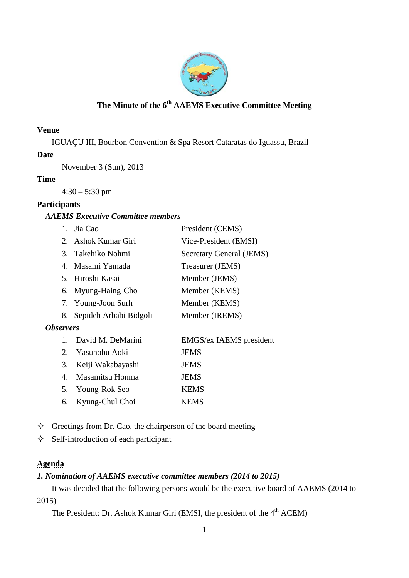

# **The Minute of the 6th AAEMS Executive Committee Meeting**

### **Venue**

IGUAÇU III, Bourbon Convention & Spa Resort Cataratas do Iguassu, Brazil

### **Date**

November 3 (Sun), 2013

### **Time**

4:30 – 5:30 pm

# **Participants**

# *AAEMS Executive Committee members*

|                         |         | 1. Jia Cao                | President (CEMS)               |
|-------------------------|---------|---------------------------|--------------------------------|
|                         |         | 2. Ashok Kumar Giri       | Vice-President (EMSI)          |
|                         |         | 3. Takehiko Nohmi         | Secretary General (JEMS)       |
|                         |         | 4. Masami Yamada          | Treasurer (JEMS)               |
|                         |         | 5. Hiroshi Kasai          | Member (JEMS)                  |
|                         |         | 6. Myung-Haing Cho        | Member (KEMS)                  |
|                         |         | 7. Young-Joon Surh        | Member (KEMS)                  |
|                         |         | 8. Sepideh Arbabi Bidgoli | Member (IREMS)                 |
| <i><b>Observers</b></i> |         |                           |                                |
|                         | $1_{-}$ | David M. DeMarini         | <b>EMGS/ex IAEMS</b> president |
|                         | 2.      | Yasunobu Aoki             | <b>JEMS</b>                    |
|                         | 3.      | Keiji Wakabayashi         | <b>JEMS</b>                    |
|                         | 4.      | Masamitsu Honma           | <b>JEMS</b>                    |
|                         | 5.      | Young-Rok Seo             | <b>KEMS</b>                    |
|                         | 6.      | Kyung-Chul Choi           | <b>KEMS</b>                    |
|                         |         |                           |                                |

 $\Diamond$  Greetings from Dr. Cao, the chairperson of the board meeting

 $\Diamond$  Self-introduction of each participant

# **Agenda**

# *1. Nomination of AAEMS executive committee members (2014 to 2015)*

 It was decided that the following persons would be the executive board of AAEMS (2014 to 2015)

The President: Dr. Ashok Kumar Giri (EMSI, the president of the 4<sup>th</sup> ACEM)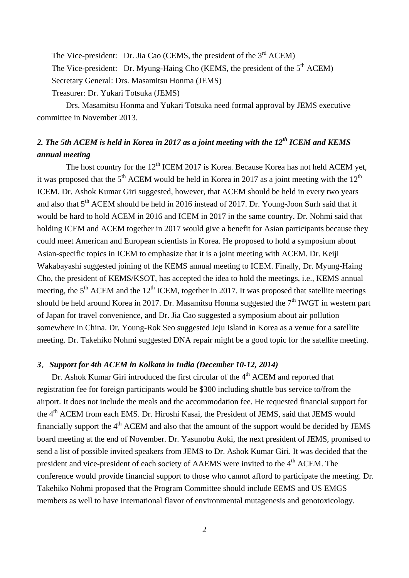The Vice-president: Dr. Jia Cao (CEMS, the president of the  $3<sup>rd</sup>$  ACEM) The Vice-president: Dr. Myung-Haing Cho (KEMS, the president of the  $5<sup>th</sup>$  ACEM) Secretary General: Drs. Masamitsu Honma (JEMS) Treasurer: Dr. Yukari Totsuka (JEMS)

 Drs. Masamitsu Honma and Yukari Totsuka need formal approval by JEMS executive committee in November 2013.

# *2. The 5th ACEM is held in Korea in 2017 as a joint meeting with the 12th ICEM and KEMS annual meeting*

The host country for the  $12<sup>th</sup>$  ICEM 2017 is Korea. Because Korea has not held ACEM yet, it was proposed that the  $5<sup>th</sup>$  ACEM would be held in Korea in 2017 as a joint meeting with the 12<sup>th</sup> ICEM. Dr. Ashok Kumar Giri suggested, however, that ACEM should be held in every two years and also that 5<sup>th</sup> ACEM should be held in 2016 instead of 2017. Dr. Young-Joon Surh said that it would be hard to hold ACEM in 2016 and ICEM in 2017 in the same country. Dr. Nohmi said that holding ICEM and ACEM together in 2017 would give a benefit for Asian participants because they could meet American and European scientists in Korea. He proposed to hold a symposium about Asian-specific topics in ICEM to emphasize that it is a joint meeting with ACEM. Dr. Keiji Wakabayashi suggested joining of the KEMS annual meeting to ICEM. Finally, Dr. Myung-Haing Cho, the president of KEMS/KSOT, has accepted the idea to hold the meetings, i.e., KEMS annual meeting, the  $5<sup>th</sup>$  ACEM and the 12<sup>th</sup> ICEM, together in 2017. It was proposed that satellite meetings should be held around Korea in 2017. Dr. Masamitsu Honma suggested the  $7<sup>th</sup>$  IWGT in western part of Japan for travel convenience, and Dr. Jia Cao suggested a symposium about air pollution somewhere in China. Dr. Young-Rok Seo suggested Jeju Island in Korea as a venue for a satellite meeting. Dr. Takehiko Nohmi suggested DNA repair might be a good topic for the satellite meeting.

#### *3*.*Support for 4th ACEM in Kolkata in India (December 10-12, 2014)*

Dr. Ashok Kumar Giri introduced the first circular of the  $4<sup>th</sup>$  ACEM and reported that registration fee for foreign participants would be \$300 including shuttle bus service to/from the airport. It does not include the meals and the accommodation fee. He requested financial support for the 4<sup>th</sup> ACEM from each EMS. Dr. Hiroshi Kasai, the President of JEMS, said that JEMS would financially support the  $4<sup>th</sup>$  ACEM and also that the amount of the support would be decided by JEMS board meeting at the end of November. Dr. Yasunobu Aoki, the next president of JEMS, promised to send a list of possible invited speakers from JEMS to Dr. Ashok Kumar Giri. It was decided that the president and vice-president of each society of AAEMS were invited to the 4<sup>th</sup> ACEM. The conference would provide financial support to those who cannot afford to participate the meeting. Dr. Takehiko Nohmi proposed that the Program Committee should include EEMS and US EMGS members as well to have international flavor of environmental mutagenesis and genotoxicology.